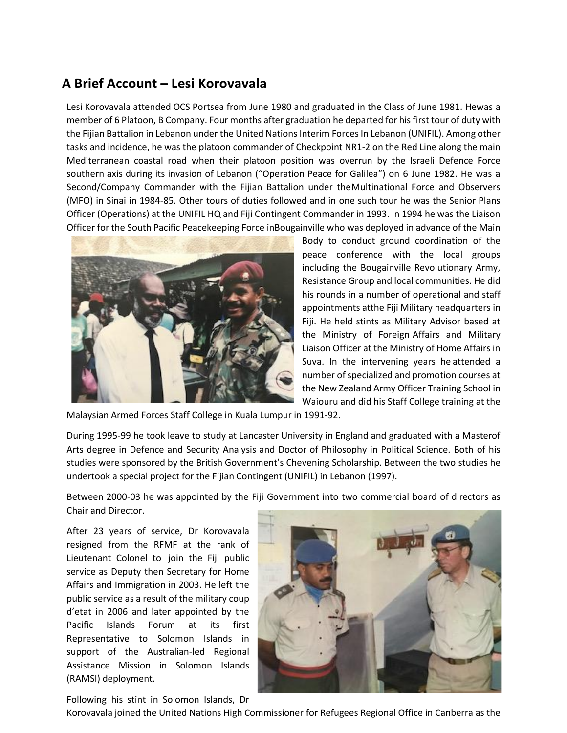## **A Brief Account – Lesi Korovavala**

Lesi Korovavala attended OCS Portsea from June 1980 and graduated in the Class of June 1981. Hewas a member of 6 Platoon, B Company. Four months after graduation he departed for his first tour of duty with the Fijian Battalion in Lebanon under the United Nations Interim Forces In Lebanon (UNIFIL). Among other tasks and incidence, he was the platoon commander of Checkpoint NR1-2 on the Red Line along the main Mediterranean coastal road when their platoon position was overrun by the Israeli Defence Force southern axis during its invasion of Lebanon ("Operation Peace for Galilea") on 6 June 1982. He was a Second/Company Commander with the Fijian Battalion under theMultinational Force and Observers (MFO) in Sinai in 1984-85. Other tours of duties followed and in one such tour he was the Senior Plans Officer (Operations) at the UNIFIL HQ and Fiji Contingent Commander in 1993. In 1994 he was the Liaison Officer for the South Pacific Peacekeeping Force inBougainville who was deployed in advance of the Main



Body to conduct ground coordination of the peace conference with the local groups including the Bougainville Revolutionary Army, Resistance Group and local communities. He did his rounds in a number of operational and staff appointments atthe Fiji Military headquarters in Fiji. He held stints as Military Advisor based at the Ministry of Foreign Affairs and Military Liaison Officer at the Ministry of Home Affairs in Suva. In the intervening years he attended a number of specialized and promotion courses at the New Zealand Army Officer Training School in Waiouru and did his Staff College training at the

Malaysian Armed Forces Staff College in Kuala Lumpur in 1991-92.

During 1995-99 he took leave to study at Lancaster University in England and graduated with a Masterof Arts degree in Defence and Security Analysis and Doctor of Philosophy in Political Science. Both of his studies were sponsored by the British Government's Chevening Scholarship. Between the two studies he undertook a special project for the Fijian Contingent (UNIFIL) in Lebanon (1997).

Between 2000-03 he was appointed by the Fiji Government into two commercial board of directors as Chair and Director.

After 23 years of service, Dr Korovavala resigned from the RFMF at the rank of Lieutenant Colonel to join the Fiji public service as Deputy then Secretary for Home Affairs and Immigration in 2003. He left the public service as a result of the military coup d'etat in 2006 and later appointed by the Pacific Islands Forum at its first Representative to Solomon Islands in support of the Australian-led Regional Assistance Mission in Solomon Islands (RAMSI) deployment.



Following his stint in Solomon Islands, Dr

Korovavala joined the United Nations High Commissioner for Refugees Regional Office in Canberra as the